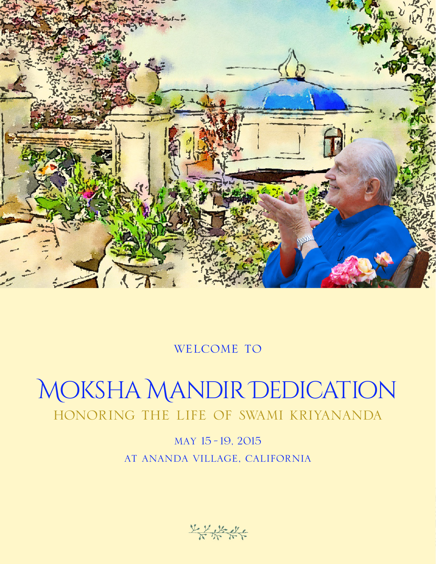

# welcome to

# Moksha Mandir Dedication honoring the life of swami kriyananda

may 15 -19, 2015 at ananda village, california

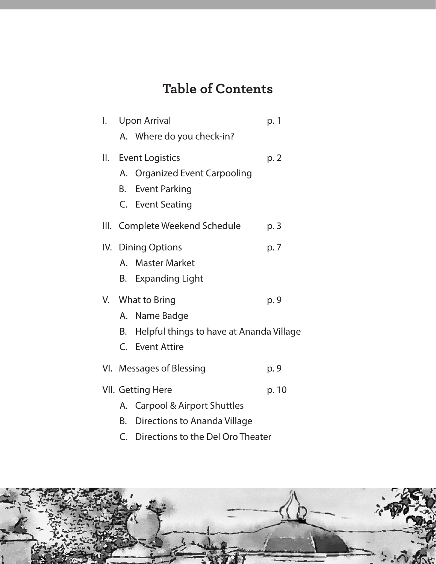# **Table of Contents**

| l. |    | <b>Upon Arrival</b>                                                                                 | p. 1  |
|----|----|-----------------------------------------------------------------------------------------------------|-------|
|    |    | A. Where do you check-in?                                                                           |       |
|    |    | II. Event Logistics<br>A. Organized Event Carpooling<br><b>B.</b> Event Parking<br>C. Event Seating | p. 2  |
|    |    | III. Complete Weekend Schedule                                                                      | p. 3  |
|    |    | IV. Dining Options<br>A. Master Market<br>B. Expanding Light                                        | p. 7  |
|    |    | V. What to Bring<br>A. Name Badge<br>B. Helpful things to have at Ananda Village<br>C. Event Attire | p. 9  |
|    |    | VI. Messages of Blessing                                                                            | p. 9  |
|    | В. | VII. Getting Here<br>A. Carpool & Airport Shuttles<br>Directions to Ananda Village                  | p. 10 |

C. Directions to the Del Oro Theater

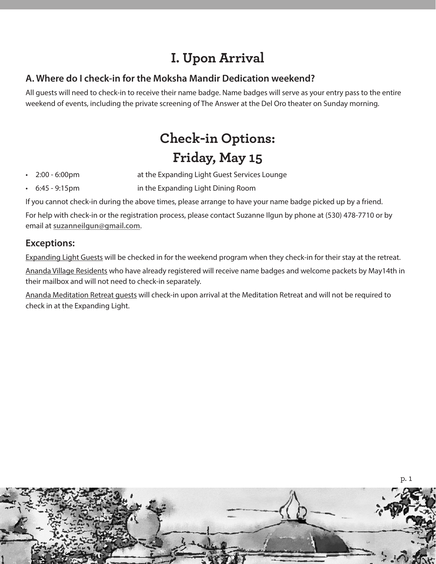# **I. Upon Arrival**

## **A. Where do I check-in for the Moksha Mandir Dedication weekend?**

All guests will need to check-in to receive their name badge. Name badges will serve as your entry pass to the entire weekend of events, including the private screening of The Answer at the Del Oro theater on Sunday morning.

# **Check-in Options: Friday, May 15**

- 2:00 6:00pm at the Expanding Light Guest Services Lounge
- 6:45 9:15pm in the Expanding Light Dining Room

If you cannot check-in during the above times, please arrange to have your name badge picked up by a friend.

For help with check-in or the registration process, please contact Suzanne Ilgun by phone at (530) 478-7710 or by email at **suzanneilgun@gmail.com**.

## **Exceptions:**

Expanding Light Guests will be checked in for the weekend program when they check-in for their stay at the retreat.

Ananda Village Residents who have already registered will receive name badges and welcome packets by May14th in their mailbox and will not need to check-in separately.

Ananda Meditation Retreat guests will check-in upon arrival at the Meditation Retreat and will not be required to check in at the Expanding Light.

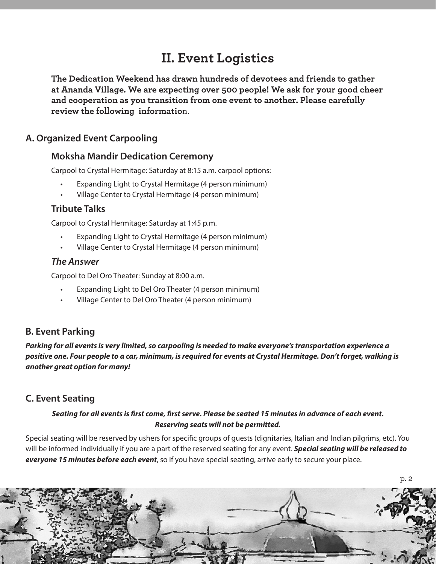# **II. Event Logistics**

**The Dedication Weekend has drawn hundreds of devotees and friends to gather at Ananda Village. We are expecting over 500 people! We ask for your good cheer and cooperation as you transition from one event to another. Please carefully review the following informatio**n.

## **A. Organized Event Carpooling**

### **Moksha Mandir Dedication Ceremony**

Carpool to Crystal Hermitage: Saturday at 8:15 a.m. carpool options:

- Expanding Light to Crystal Hermitage (4 person minimum)
- Village Center to Crystal Hermitage (4 person minimum)

### **Tribute Talks**

Carpool to Crystal Hermitage: Saturday at 1:45 p.m.

- Expanding Light to Crystal Hermitage (4 person minimum)
- Village Center to Crystal Hermitage (4 person minimum)

### *The Answer*

Carpool to Del Oro Theater: Sunday at 8:00 a.m.

- Expanding Light to Del Oro Theater (4 person minimum)
- Village Center to Del Oro Theater (4 person minimum)

# **B. Event Parking**

*Parking for all events is very limited, so carpooling is needed to make everyone's transportation experience a positive one. Four people to a car, minimum, is required for events at Crystal Hermitage. Don't forget, walking is another great option for many!*

# **C. Event Seating**

### *Seating for all events is first come, first serve. Please be seated 15 minutes in advance of each event. Reserving seats will not be permitted.*

Special seating will be reserved by ushers for specific groups of guests (dignitaries, Italian and Indian pilgrims, etc). You will be informed individually if you are a part of the reserved seating for any event. *Special seating will be released to everyone 15 minutes before each event*, so if you have special seating, arrive early to secure your place.

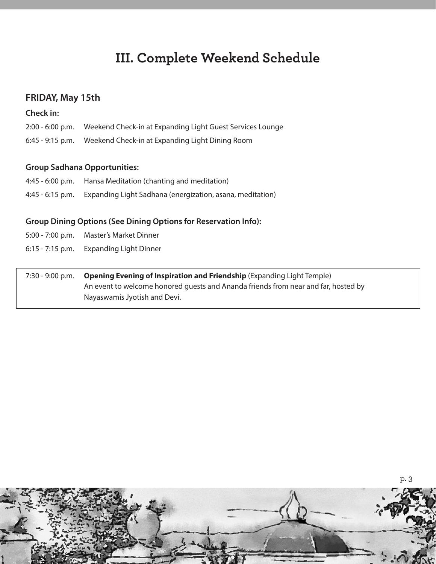# **III. Complete Weekend Schedule**

### **FRIDAY, May 15th**

#### **Check in:**

- 2:00 6:00 p.m. Weekend Check-in at Expanding Light Guest Services Lounge
- 6:45 9:15 p.m. Weekend Check-in at Expanding Light Dining Room

#### **Group Sadhana Opportunities:**

- 4:45 6:00 p.m. Hansa Meditation (chanting and meditation)
- 4:45 6:15 p.m. Expanding Light Sadhana (energization, asana, meditation)

### **Group Dining Options (See Dining Options for Reservation Info):**

- 5:00 7:00 p.m. Master's Market Dinner
- 6:15 7:15 p.m. Expanding Light Dinner

7:30 - 9:00 p.m. **Opening Evening of Inspiration and Friendship** (Expanding Light Temple) An event to welcome honored guests and Ananda friends from near and far, hosted by Nayaswamis Jyotish and Devi.

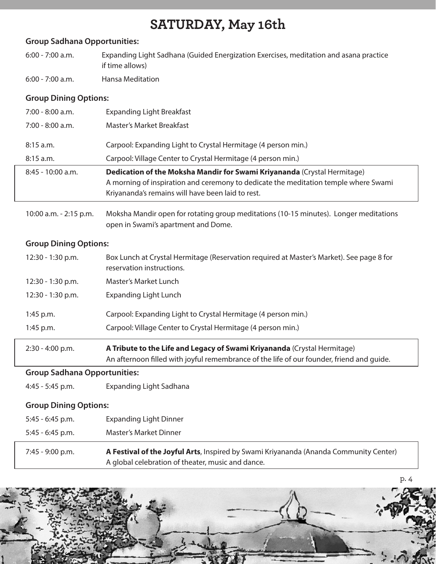# **SATURDAY, May 16th**

#### **Group Sadhana Opportunities:**

- 6:00 7:00 a.m. Expanding Light Sadhana (Guided Energization Exercises, meditation and asana practice if time allows)
- 6:00 7:00 a.m. Hansa Meditation

### **Group Dining Options:**

| $7:00 - 8:00$ a.m.  | <b>Expanding Light Breakfast</b>                                                                                                                                                                                     |
|---------------------|----------------------------------------------------------------------------------------------------------------------------------------------------------------------------------------------------------------------|
| $7:00 - 8:00$ a.m.  | Master's Market Breakfast                                                                                                                                                                                            |
| $8:15$ a.m.         | Carpool: Expanding Light to Crystal Hermitage (4 person min.)                                                                                                                                                        |
| $8:15$ a.m.         | Carpool: Village Center to Crystal Hermitage (4 person min.)                                                                                                                                                         |
| $8:45 - 10:00$ a.m. | Dedication of the Moksha Mandir for Swami Kriyananda (Crystal Hermitage)<br>A morning of inspiration and ceremony to dedicate the meditation temple where Swami<br>Kriyananda's remains will have been laid to rest. |
|                     |                                                                                                                                                                                                                      |

10:00 a.m. - 2:15 p.m. Moksha Mandir open for rotating group meditations (10-15 minutes). Longer meditations open in Swami's apartment and Dome.

### **Group Dining Options:**

| $12:30 - 1:30$ p.m. | Box Lunch at Crystal Hermitage (Reservation required at Master's Market). See page 8 for<br>reservation instructions. |
|---------------------|-----------------------------------------------------------------------------------------------------------------------|
| 12:30 - 1:30 p.m.   | Master's Market Lunch                                                                                                 |
| $12:30 - 1:30$ p.m. | <b>Expanding Light Lunch</b>                                                                                          |
| 1:45 p.m.           | Carpool: Expanding Light to Crystal Hermitage (4 person min.)                                                         |
| $1:45$ p.m.         | Carpool: Village Center to Crystal Hermitage (4 person min.)                                                          |
|                     |                                                                                                                       |

2:30 - 4:00 p.m. **A Tribute to the Life and Legacy of Swami Kriyananda** (Crystal Hermitage) An afternoon filled with joyful remembrance of the life of our founder, friend and guide.

#### **Group Sadhana Opportunities:**

4:45 - 5:45 p.m. Expanding Light Sadhana

#### **Group Dining Options:**

- 5:45 6:45 p.m. Expanding Light Dinner
- 5:45 6:45 p.m. Master's Market Dinner

7:45 - 9:00 p.m. **A Festival of the Joyful Arts**, Inspired by Swami Kriyananda (Ananda Community Center) A global celebration of theater, music and dance.

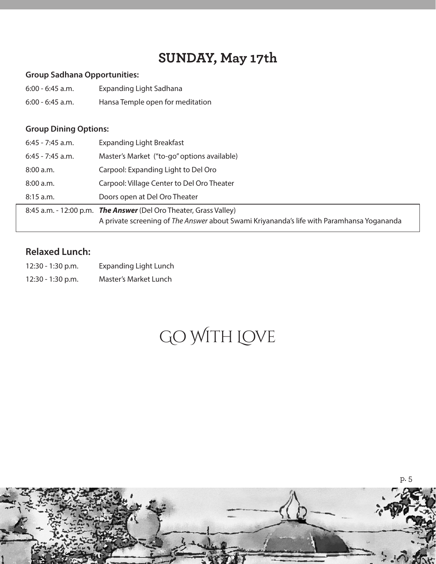# **SUNDAY, May 17th**

#### **Group Sadhana Opportunities:**

- 6:00 6:45 a.m. Expanding Light Sadhana
- 6:00 6:45 a.m. Hansa Temple open for meditation

### **Group Dining Options:**

| $6:45 - 7:45$ a.m. | <b>Expanding Light Breakfast</b>                                                                                                                               |
|--------------------|----------------------------------------------------------------------------------------------------------------------------------------------------------------|
| $6:45 - 7:45$ a.m. | Master's Market ("to-go" options available)                                                                                                                    |
| 8:00 a.m.          | Carpool: Expanding Light to Del Oro                                                                                                                            |
| 8:00 a.m.          | Carpool: Village Center to Del Oro Theater                                                                                                                     |
| $8:15$ a.m.        | Doors open at Del Oro Theater                                                                                                                                  |
|                    | 8:45 a.m. - 12:00 p.m. The Answer (Del Oro Theater, Grass Valley)<br>A private screening of The Answer about Swami Kriyananda's life with Paramhansa Yogananda |

# **Relaxed Lunch:**

| $12:30 - 1:30$ p.m. | <b>Expanding Light Lunch</b> |
|---------------------|------------------------------|
| $12:30 - 1:30$ p.m. | Master's Market Lunch        |

# Go With Love

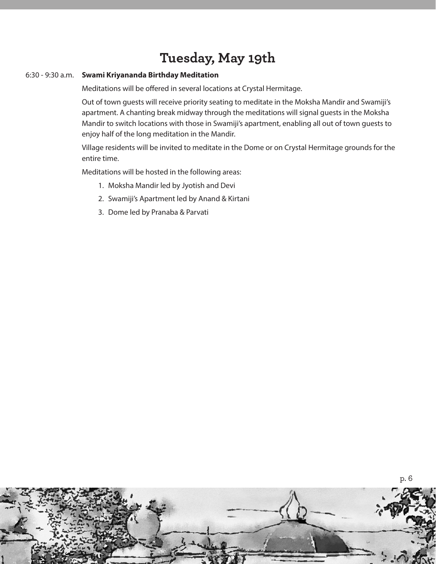# **Tuesday, May 19th**

#### 6:30 - 9:30 a.m. **Swami Kriyananda Birthday Meditation**

Meditations will be offered in several locations at Crystal Hermitage.

Out of town guests will receive priority seating to meditate in the Moksha Mandir and Swamiji's apartment. A chanting break midway through the meditations will signal guests in the Moksha Mandir to switch locations with those in Swamiji's apartment, enabling all out of town guests to enjoy half of the long meditation in the Mandir.

Village residents will be invited to meditate in the Dome or on Crystal Hermitage grounds for the entire time.

Meditations will be hosted in the following areas:

- 1. Moksha Mandir led by Jyotish and Devi
- 2. Swamiji's Apartment led by Anand & Kirtani
- 3. Dome led by Pranaba & Parvati

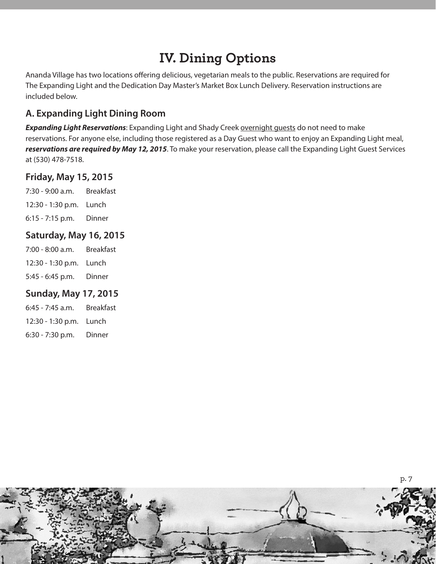# **IV. Dining Options**

Ananda Village has two locations offering delicious, vegetarian meals to the public. Reservations are required for The Expanding Light and the Dedication Day Master's Market Box Lunch Delivery. Reservation instructions are included below.

# **A. Expanding Light Dining Room**

**Expanding Light Reservations**: Expanding Light and Shady Creek overnight quests do not need to make reservations. For anyone else, including those registered as a Day Guest who want to enjoy an Expanding Light meal, *reservations are required by May 12, 2015*. To make your reservation, please call the Expanding Light Guest Services at (530) 478-7518.

## **Friday, May 15, 2015**

7:30 - 9:00 a.m. Breakfast 12:30 - 1:30 p.m. Lunch 6:15 - 7:15 p.m. Dinner

## **Saturday, May 16, 2015**

| 7:00 - 8:00 a.m.        | <b>Breakfast</b> |
|-------------------------|------------------|
| 12:30 - 1:30 p.m. Lunch |                  |
| 5:45 - 6:45 p.m.        | Dinner           |

## **Sunday, May 17, 2015**

| 6:45 - 7:45 a.m.        | <b>Breakfast</b> |
|-------------------------|------------------|
| 12:30 - 1:30 p.m. Lunch |                  |
| 6:30 - 7:30 p.m.        | Dinner           |

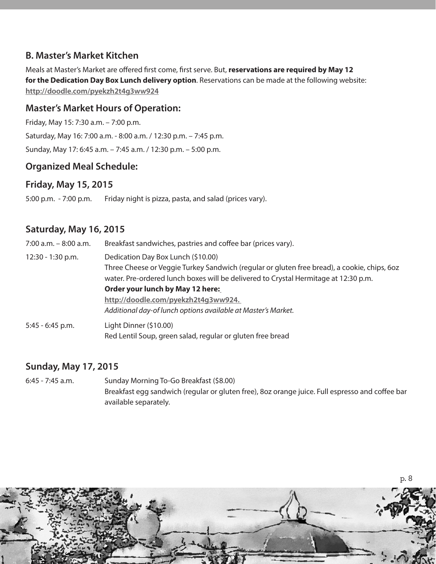## **B. Master's Market Kitchen**

Meals at Master's Market are offered first come, first serve. But, **reservations are required by May 12 for the Dedication Day Box Lunch delivery option**. Reservations can be made at the following website: **http://doodle.com/pyekzh2t4g3ww924**

### **Master's Market Hours of Operation:**

Friday, May 15: 7:30 a.m. – 7:00 p.m.

Saturday, May 16: 7:00 a.m. - 8:00 a.m. / 12:30 p.m. – 7:45 p.m.

Sunday, May 17: 6:45 a.m. – 7:45 a.m. / 12:30 p.m. – 5:00 p.m.

### **Organized Meal Schedule:**

### **Friday, May 15, 2015**

5:00 p.m. - 7:00 p.m. Friday night is pizza, pasta, and salad (prices vary).

### **Saturday, May 16, 2015**

| 7:00 a.m. - 8:00 a.m. | Breakfast sandwiches, pastries and coffee bar (prices vary).                                                                                                                                                                                                 |  |
|-----------------------|--------------------------------------------------------------------------------------------------------------------------------------------------------------------------------------------------------------------------------------------------------------|--|
| 12:30 - 1:30 p.m.     | Dedication Day Box Lunch (\$10.00)<br>Three Cheese or Veggie Turkey Sandwich (regular or gluten free bread), a cookie, chips, 602<br>water. Pre-ordered lunch boxes will be delivered to Crystal Hermitage at 12:30 p.m.<br>Order your lunch by May 12 here: |  |
|                       | http://doodle.com/pyekzh2t4q3ww924.<br>Additional day-of lunch options available at Master's Market.                                                                                                                                                         |  |
| 5:45 - 6:45 p.m.      | Light Dinner (\$10.00)<br>Red Lentil Soup, green salad, regular or gluten free bread                                                                                                                                                                         |  |

### **Sunday, May 17, 2015**

6:45 - 7:45 a.m. Sunday Morning To-Go Breakfast (\$8.00) Breakfast egg sandwich (regular or gluten free), 8oz orange juice. Full espresso and coffee bar available separately.

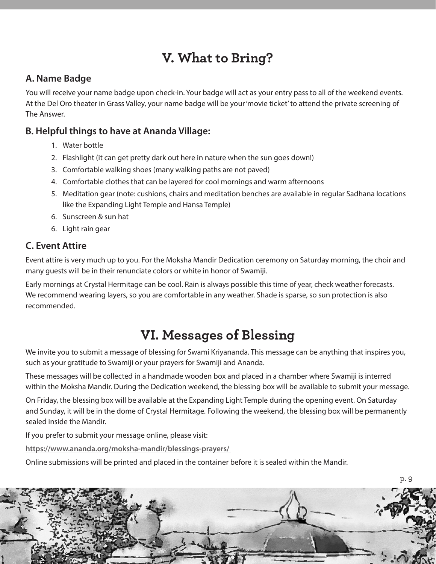# **V. What to Bring?**

## **A. Name Badge**

You will receive your name badge upon check-in. Your badge will act as your entry pass to all of the weekend events. At the Del Oro theater in Grass Valley, your name badge will be your 'movie ticket' to attend the private screening of The Answer.

## **B. Helpful things to have at Ananda Village:**

- 1. Water bottle
- 2. Flashlight (it can get pretty dark out here in nature when the sun goes down!)
- 3. Comfortable walking shoes (many walking paths are not paved)
- 4. Comfortable clothes that can be layered for cool mornings and warm afternoons
- 5. Meditation gear (note: cushions, chairs and meditation benches are available in regular Sadhana locations like the Expanding Light Temple and Hansa Temple)
- 6. Sunscreen & sun hat
- 6. Light rain gear

# **C. Event Attire**

Event attire is very much up to you. For the Moksha Mandir Dedication ceremony on Saturday morning, the choir and many guests will be in their renunciate colors or white in honor of Swamiji.

Early mornings at Crystal Hermitage can be cool. Rain is always possible this time of year, check weather forecasts. We recommend wearing layers, so you are comfortable in any weather. Shade is sparse, so sun protection is also recommended.

# **VI. Messages of Blessing**

We invite you to submit a message of blessing for Swami Kriyananda. This message can be anything that inspires you, such as your gratitude to Swamiji or your prayers for Swamiji and Ananda.

These messages will be collected in a handmade wooden box and placed in a chamber where Swamiji is interred within the Moksha Mandir. During the Dedication weekend, the blessing box will be available to submit your message.

On Friday, the blessing box will be available at the Expanding Light Temple during the opening event. On Saturday and Sunday, it will be in the dome of Crystal Hermitage. Following the weekend, the blessing box will be permanently sealed inside the Mandir.

If you prefer to submit your message online, please visit:

**https://www.ananda.org/moksha-mandir/blessings-prayers/** 

Online submissions will be printed and placed in the container before it is sealed within the Mandir.